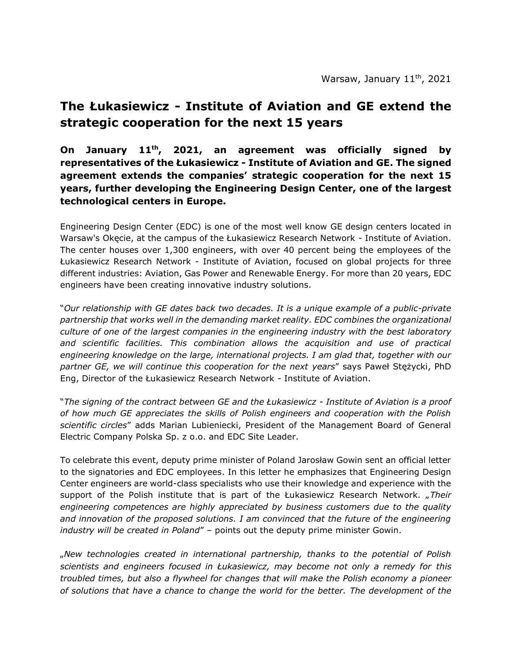## **The Łukasiewicz - Institute of Aviation and GE extend the strategic cooperation for the next 15 years**

**On January 11th, 2021, an agreement was officially signed by representatives of the Łukasiewicz - Institute of Aviation and GE. The signed agreement extends the companies' strategic cooperation for the next 15 years, further developing the Engineering Design Center, one of the largest technological centers in Europe.**

Engineering Design Center (EDC) is one of the most well know GE design centers located in Warsaw's Okęcie, at the campus of the Łukasiewicz Research Network - Institute of Aviation. The center houses over 1,300 engineers, with over 40 percent being the employees of the Łukasiewicz Research Network - Institute of Aviation, focused on global projects for three different industries: Aviation, Gas Power and Renewable Energy. For more than 20 years, EDC engineers have been creating innovative industry solutions.

"*Our relationship with GE dates back two decades. It is a unique example of a public-private partnership that works well in the demanding market reality. EDC combines the organizational culture of one of the largest companies in the engineering industry with the best laboratory and scientific facilities. This combination allows the acquisition and use of practical engineering knowledge on the large, international projects. I am glad that, together with our partner GE, we will continue this cooperation for the next years*" says Paweł Stężycki, PhD Eng, Director of the Łukasiewicz Research Network - Institute of Aviation.

"*The signing of the contract between GE and the Łukasiewicz - Institute of Aviation is a proof of how much GE appreciates the skills of Polish engineers and cooperation with the Polish scientific circles*" adds Marian Lubieniecki, President of the Management Board of General Electric Company Polska Sp. z o.o. and EDC Site Leader.

To celebrate this event, deputy prime minister of Poland Jarosław Gowin sent an official letter to the signatories and EDC employees. In this letter he emphasizes that Engineering Design Center engineers are world-class specialists who use their knowledge and experience with the support of the Polish institute that is part of the *Lukasiewicz Research Network. "Their engineering competences are highly appreciated by business customers due to the quality and innovation of the proposed solutions. I am convinced that the future of the engineering industry will be created in Poland*" – points out the deputy prime minister Gowin.

"*New technologies created in international partnership, thanks to the potential of Polish scientists and engineers focused in Łukasiewicz, may become not only a remedy for this troubled times, but also a flywheel for changes that will make the Polish economy a pioneer of solutions that have a chance to change the world for the better. The development of the*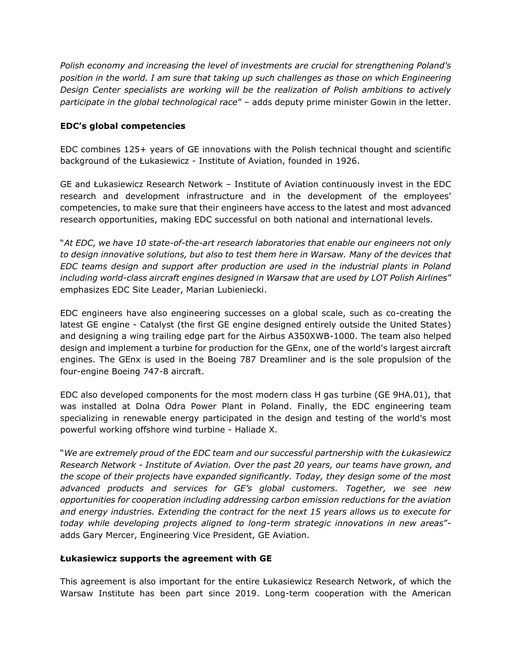*Polish economy and increasing the level of investments are crucial for strengthening Poland's position in the world. I am sure that taking up such challenges as those on which Engineering Design Center specialists are working will be the realization of Polish ambitions to actively participate in the global technological race*" – adds deputy prime minister Gowin in the letter.

## **EDC's global competencies**

EDC combines 125+ years of GE innovations with the Polish technical thought and scientific background of the Łukasiewicz - Institute of Aviation, founded in 1926.

GE and Łukasiewicz Research Network – Institute of Aviation continuously invest in the EDC research and development infrastructure and in the development of the employees' competencies, to make sure that their engineers have access to the latest and most advanced research opportunities, making EDC successful on both national and international levels.

"*At EDC, we have 10 state-of-the-art research laboratories that enable our engineers not only to design innovative solutions, but also to test them here in Warsaw. Many of the devices that EDC teams design and support after production are used in the industrial plants in Poland including world-class aircraft engines designed in Warsaw that are used by LOT Polish Airlines*" emphasizes EDC Site Leader, Marian Lubieniecki.

EDC engineers have also engineering successes on a global scale, such as co-creating the latest GE engine - Catalyst (the first GE engine designed entirely outside the United States) and designing a wing trailing edge part for the Airbus A350XWB-1000. The team also helped design and implement a turbine for production for the GEnx, one of the world's largest aircraft engines. The GEnx is used in the Boeing 787 Dreamliner and is the sole propulsion of the four-engine Boeing 747-8 aircraft.

EDC also developed components for the most modern class H gas turbine (GE 9HA.01), that was installed at Dolna Odra Power Plant in Poland. Finally, the EDC engineering team specializing in renewable energy participated in the design and testing of the world's most powerful working offshore wind turbine - Haliade X.

"*We are extremely proud of the EDC team and our successful partnership with the Łukasiewicz Research Network - Institute of Aviation. Over the past 20 years, our teams have grown, and the scope of their projects have expanded significantly. Today, they design some of the most advanced products and services for GE's global customers. Together, we see new opportunities for cooperation including addressing carbon emission reductions for the aviation and energy industries. Extending the contract for the next 15 years allows us to execute for today while developing projects aligned to long-term strategic innovations in new areas*" adds Gary Mercer, Engineering Vice President, GE Aviation.

## **Łukasiewicz supports the agreement with GE**

This agreement is also important for the entire Łukasiewicz Research Network, of which the Warsaw Institute has been part since 2019. Long-term cooperation with the American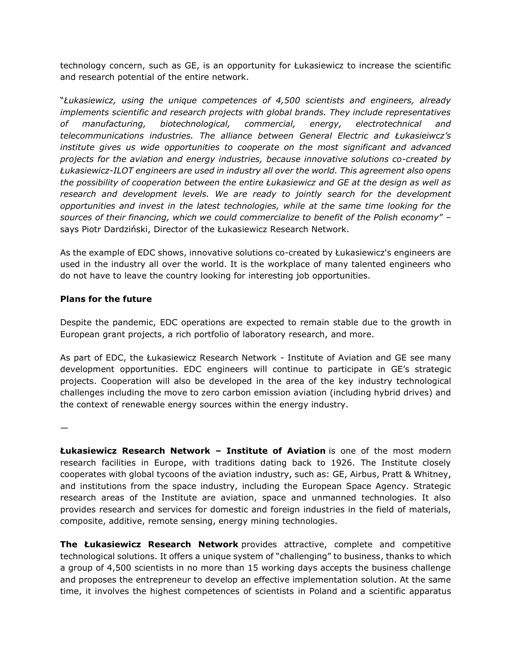technology concern, such as GE, is an opportunity for Łukasiewicz to increase the scientific and research potential of the entire network.

"*Łukasiewicz, using the unique competences of 4,500 scientists and engineers, already implements scientific and research projects with global brands. They include representatives of manufacturing, biotechnological, commercial, energy, electrotechnical and telecommunications industries. The alliance between General Electric and Łukasieiwcz's institute gives us wide opportunities to cooperate on the most significant and advanced projects for the aviation and energy industries, because innovative solutions co-created by Łukasiewicz-ILOT engineers are used in industry all over the world. This agreement also opens the possibility of cooperation between the entire Łukasiewicz and GE at the design as well as research and development levels. We are ready to jointly search for the development opportunities and invest in the latest technologies, while at the same time looking for the sources of their financing, which we could commercialize to benefit of the Polish economy*" – says Piotr Dardziński, Director of the Łukasiewicz Research Network.

As the example of EDC shows, innovative solutions co-created by Łukasiewicz's engineers are used in the industry all over the world. It is the workplace of many talented engineers who do not have to leave the country looking for interesting job opportunities.

## **Plans for the future**

Despite the pandemic, EDC operations are expected to remain stable due to the growth in European grant projects, a rich portfolio of laboratory research, and more.

As part of EDC, the Łukasiewicz Research Network - Institute of Aviation and GE see many development opportunities. EDC engineers will continue to participate in GE's strategic projects. Cooperation will also be developed in the area of the key industry technological challenges including the move to zero carbon emission aviation (including hybrid drives) and the context of renewable energy sources within the energy industry.

—

**Łukasiewicz Research Network – Institute of Aviation** is one of the most modern research facilities in Europe, with traditions dating back to 1926. The Institute closely cooperates with global tycoons of the aviation industry, such as: GE, Airbus, Pratt & Whitney, and institutions from the space industry, including the European Space Agency. Strategic research areas of the Institute are aviation, space and unmanned technologies. It also provides research and services for domestic and foreign industries in the field of materials, composite, additive, remote sensing, energy mining technologies.

**The Łukasiewicz Research Network** provides attractive, complete and competitive technological solutions. It offers a unique system of "challenging" to business, thanks to which a group of 4,500 scientists in no more than 15 working days accepts the business challenge and proposes the entrepreneur to develop an effective implementation solution. At the same time, it involves the highest competences of scientists in Poland and a scientific apparatus